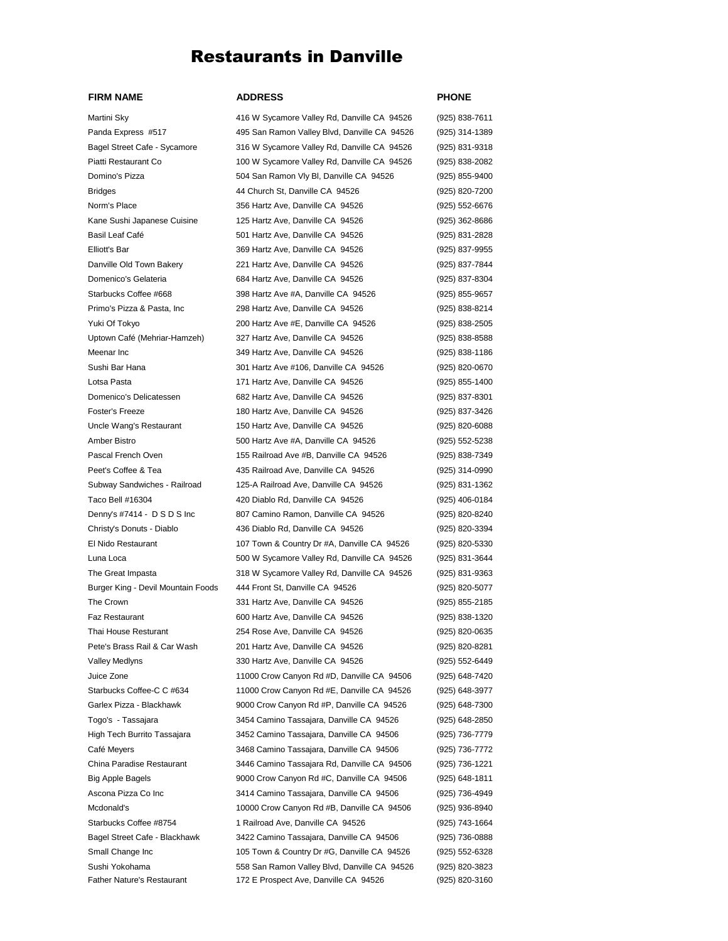## Restaurants in Danville

## **FIRM NAME ADDRESS PHONE**

Father Nature's Restaurant 172 E Prospect Ave, Danville CA 94526 (925) 820-3160

## Martini Sky **Allam 2016** 416 W Sycamore Valley Rd, Danville CA 94526 (925) 838-7611 Panda Express #517 495 San Ramon Valley Blvd, Danville CA 94526 (925) 314-1389 Bagel Street Cafe - Sycamore 316 W Sycamore Valley Rd, Danville CA 94526 (925) 831-9318 Piatti Restaurant Co 100 W Sycamore Valley Rd, Danville CA 94526 (925) 838-2082 Domino's Pizza 504 San Ramon Vly Bl, Danville CA 94526 (925) 855-9400 Bridges 44 Church St, Danville CA 94526 (925) 820-7200 Norm's Place 356 Hartz Ave, Danville CA 94526 (925) 552-6676 Kane Sushi Japanese Cuisine 125 Hartz Ave, Danville CA 94526 (925) 362-8686 Basil Leaf Café 501 Hartz Ave, Danville CA 94526 (925) 831-2828 Elliott's Bar 369 Hartz Ave, Danville CA 94526 (925) 837-9955 Danville Old Town Bakery 221 Hartz Ave, Danville CA 94526 (925) 837-7844 Domenico's Gelateria 684 Hartz Ave, Danville CA 94526 (925) 837-8304 Starbucks Coffee #668 398 Hartz Ave #A, Danville CA 94526 (925) 855-9657 Primo's Pizza & Pasta, Inc 298 Hartz Ave, Danville CA 94526 (925) 838-8214 Yuki Of Tokyo 200 Hartz Ave #E, Danville CA 94526 (925) 838-2505 Uptown Café (Mehriar-Hamzeh) 327 Hartz Ave, Danville CA 94526 (925) 838-8588 Meenar Inc 349 Hartz Ave, Danville CA 94526 (925) 838-1186 Sushi Bar Hana 301 Hartz Ave #106, Danville CA 94526 (925) 820-0670 Lotsa Pasta 171 Hartz Ave, Danville CA 94526 (925) 855-1400 Domenico's Delicatessen 682 Hartz Ave, Danville CA 94526 (925) 837-8301 Foster's Freeze 180 Hartz Ave, Danville CA 94526 (925) 837-3426 Uncle Wang's Restaurant 150 Hartz Ave, Danville CA 94526 (925) 820-6088 Amber Bistro 500 Hartz Ave #A, Danville CA 94526 (925) 552-5238 Pascal French Oven 155 Railroad Ave #B, Danville CA 94526 (925) 838-7349 Peet's Coffee & Tea 435 Railroad Ave, Danville CA 94526 (925) 314-0990 Subway Sandwiches - Railroad 125-A Railroad Ave, Danville CA 94526 (925) 831-1362 Taco Bell #16304 420 Diablo Rd, Danville CA 94526 (925) 406-0184 Denny's #7414 - D S D S Inc 807 Camino Ramon, Danville CA 94526 (925) 820-8240 Christy's Donuts - Diablo 436 Diablo Rd, Danville CA 94526 (925) 820-3394 El Nido Restaurant 107 Town & Country Dr #A, Danville CA 94526 (925) 820-5330 Luna Loca 500 W Sycamore Valley Rd, Danville CA 94526 (925) 831-3644 The Great Impasta 318 W Sycamore Valley Rd, Danville CA 94526 (925) 831-9363 Burger King - Devil Mountain Foods 444 Front St, Danville CA 94526 (925) 820-5077 The Crown 331 Hartz Ave, Danville CA 94526 (925) 855-2185 Faz Restaurant 600 Hartz Ave, Danville CA 94526 (925) 838-1320 Thai House Resturant 254 Rose Ave, Danville CA 94526 (925) 820-0635 Pete's Brass Rail & Car Wash 201 Hartz Ave, Danville CA 94526 (925) 820-8281 Valley Medlyns 330 Hartz Ave, Danville CA 94526 (925) 552-6449 Juice Zone 11000 Crow Canyon Rd #D, Danville CA 94506 (925) 648-7420 Starbucks Coffee-C C #634 11000 Crow Canyon Rd #E, Danville CA 94526 (925) 648-3977 Garlex Pizza - Blackhawk 9000 Crow Canyon Rd #P, Danville CA 94526 (925) 648-7300 Togo's - Tassajara 3454 Camino Tassajara, Danville CA 94526 (925) 648-2850 High Tech Burrito Tassajara 3452 Camino Tassajara, Danville CA 94506 (925) 736-7779 Café Meyers 3468 Camino Tassajara, Danville CA 94506 (925) 736-7772 China Paradise Restaurant 3446 Camino Tassajara Rd, Danville CA 94506 (925) 736-1221 Big Apple Bagels 9000 Crow Canyon Rd #C, Danville CA 94506 (925) 648-1811 Ascona Pizza Co Inc 3414 Camino Tassajara, Danville CA 94506 (925) 736-4949 Mcdonald's 10000 Crow Canyon Rd #B, Danville CA 94506 (925) 936-8940 Starbucks Coffee #8754 1 Railroad Ave, Danville CA 94526 (925) 743-1664 Bagel Street Cafe - Blackhawk 3422 Camino Tassajara, Danville CA 94506 (925) 736-0888 Small Change Inc 105 Town & Country Dr #G, Danville CA 94526 (925) 552-6328 Sushi Yokohama 558 San Ramon Valley Blvd, Danville CA 94526 (925) 820-3823